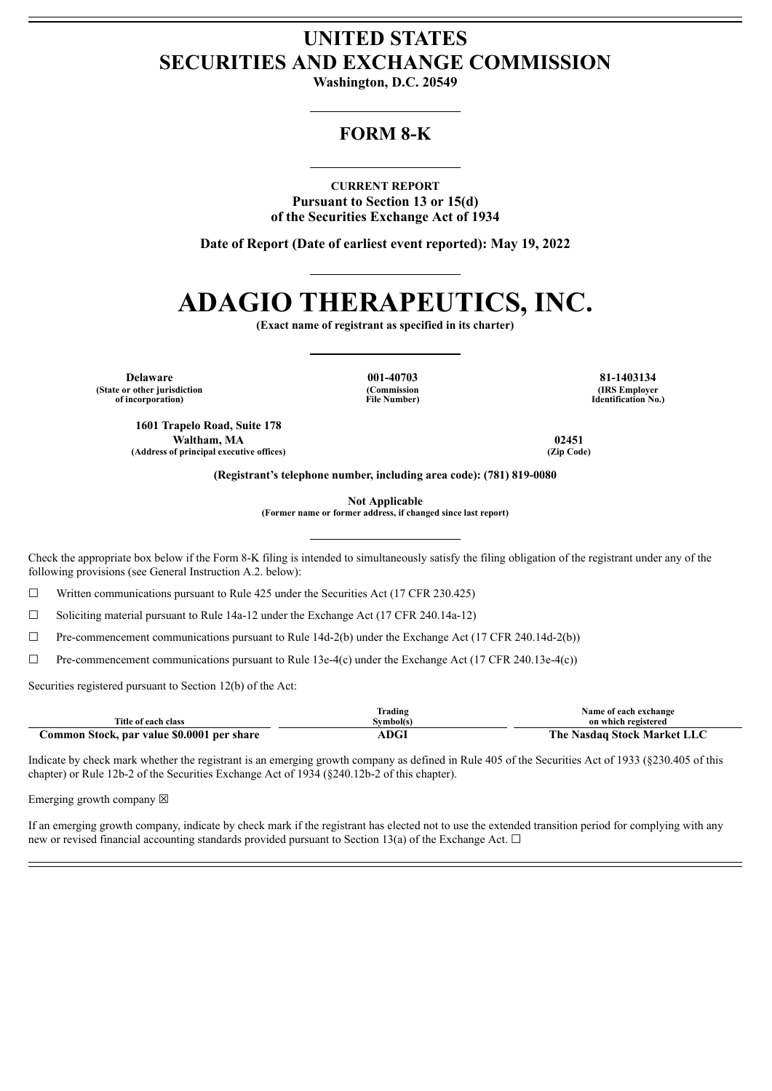## **UNITED STATES SECURITIES AND EXCHANGE COMMISSION**

**Washington, D.C. 20549**

## **FORM 8-K**

**CURRENT REPORT Pursuant to Section 13 or 15(d) of the Securities Exchange Act of 1934**

**Date of Report (Date of earliest event reported): May 19, 2022**

# **ADAGIO THERAPEUTICS, INC.**

**(Exact name of registrant as specified in its charter)**

**Delaware 001-40703 81-1403134 (State or other jurisdiction of incorporation)**

**(Commission File Number)**

**(IRS Employer Identification No.)**

**1601 Trapelo Road, Suite 178 Waltham, MA 02451 (Address of principal executive offices) (Zip Code)**

**(Registrant's telephone number, including area code): (781) 819-0080**

**Not Applicable**

**(Former name or former address, if changed since last report)**

Check the appropriate box below if the Form 8-K filing is intended to simultaneously satisfy the filing obligation of the registrant under any of the following provisions (see General Instruction A.2. below):

 $\Box$  Written communications pursuant to Rule 425 under the Securities Act (17 CFR 230.425)

☐ Soliciting material pursuant to Rule 14a-12 under the Exchange Act (17 CFR 240.14a-12)

 $\Box$  Pre-commencement communications pursuant to Rule 14d-2(b) under the Exchange Act (17 CFR 240.14d-2(b))

 $\Box$  Pre-commencement communications pursuant to Rule 13e-4(c) under the Exchange Act (17 CFR 240.13e-4(c))

Securities registered pursuant to Section 12(b) of the Act:

|                                               | $\sim$<br>$\cdot$ .<br>rading | Name of each exchange           |
|-----------------------------------------------|-------------------------------|---------------------------------|
| Title of each class                           | Svmbol(s)                     | on which registered             |
| Common Stock, par value \$0.0001<br>per share | ADGI                          | The<br>Market l<br>Nasdag Stock |

Indicate by check mark whether the registrant is an emerging growth company as defined in Rule 405 of the Securities Act of 1933 (§230.405 of this chapter) or Rule 12b-2 of the Securities Exchange Act of 1934 (§240.12b-2 of this chapter).

Emerging growth company  $\boxtimes$ 

If an emerging growth company, indicate by check mark if the registrant has elected not to use the extended transition period for complying with any new or revised financial accounting standards provided pursuant to Section 13(a) of the Exchange Act.  $\Box$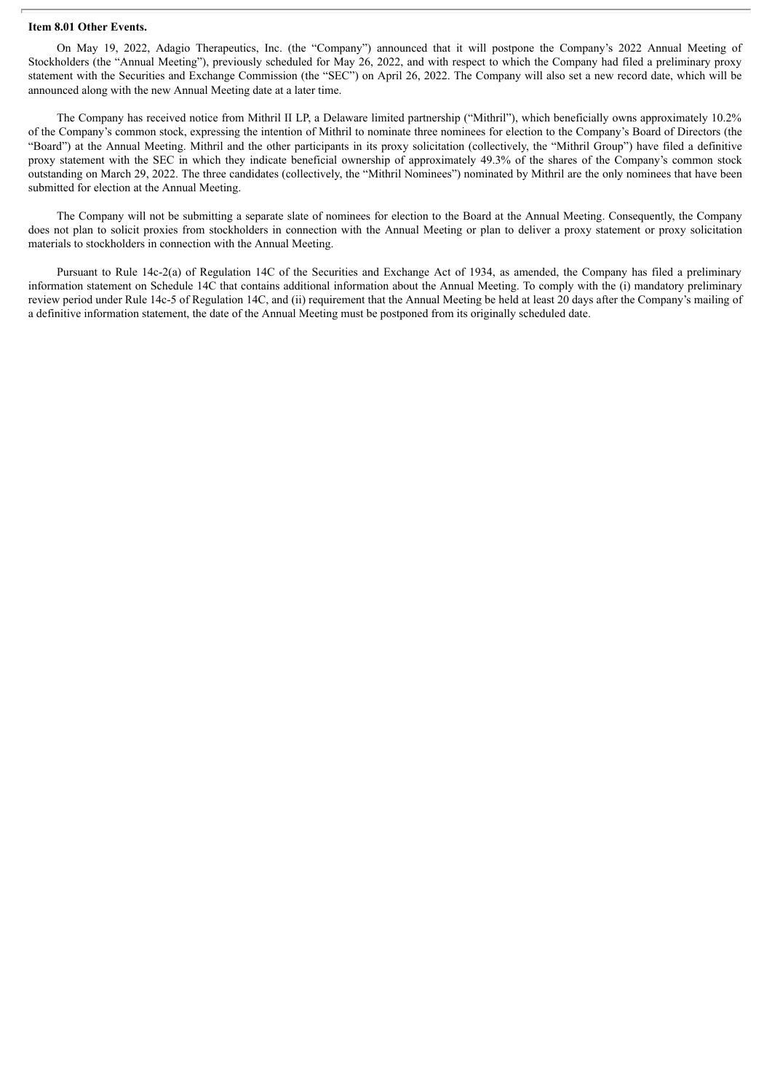#### **Item 8.01 Other Events.**

On May 19, 2022, Adagio Therapeutics, Inc. (the "Company") announced that it will postpone the Company's 2022 Annual Meeting of Stockholders (the "Annual Meeting"), previously scheduled for May 26, 2022, and with respect to which the Company had filed a preliminary proxy statement with the Securities and Exchange Commission (the "SEC") on April 26, 2022. The Company will also set a new record date, which will be announced along with the new Annual Meeting date at a later time.

The Company has received notice from Mithril II LP, a Delaware limited partnership ("Mithril"), which beneficially owns approximately 10.2% of the Company's common stock, expressing the intention of Mithril to nominate three nominees for election to the Company's Board of Directors (the "Board") at the Annual Meeting. Mithril and the other participants in its proxy solicitation (collectively, the "Mithril Group") have filed a definitive proxy statement with the SEC in which they indicate beneficial ownership of approximately 49.3% of the shares of the Company's common stock outstanding on March 29, 2022. The three candidates (collectively, the "Mithril Nominees") nominated by Mithril are the only nominees that have been submitted for election at the Annual Meeting.

The Company will not be submitting a separate slate of nominees for election to the Board at the Annual Meeting. Consequently, the Company does not plan to solicit proxies from stockholders in connection with the Annual Meeting or plan to deliver a proxy statement or proxy solicitation materials to stockholders in connection with the Annual Meeting.

Pursuant to Rule 14c-2(a) of Regulation 14C of the Securities and Exchange Act of 1934, as amended, the Company has filed a preliminary information statement on Schedule 14C that contains additional information about the Annual Meeting. To comply with the (i) mandatory preliminary review period under Rule 14c-5 of Regulation 14C, and (ii) requirement that the Annual Meeting be held at least 20 days after the Company's mailing of a definitive information statement, the date of the Annual Meeting must be postponed from its originally scheduled date.